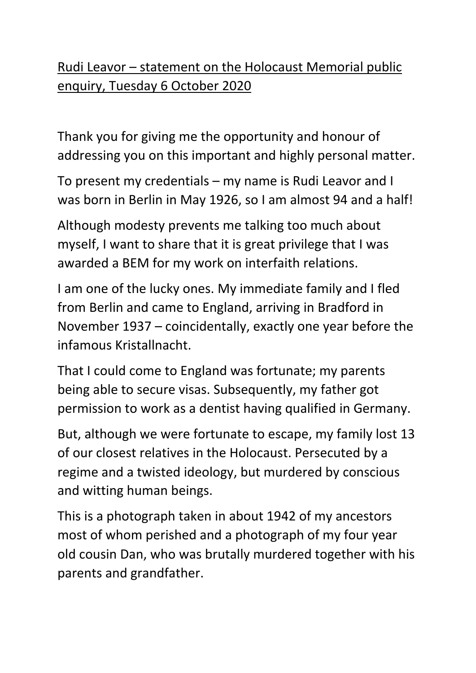## Rudi Leavor – statement on the Holocaust Memorial public enquiry, Tuesday 6 October 2020

Thank you for giving me the opportunity and honour of addressing you on this important and highly personal matter.

To present my credentials – my name is Rudi Leavor and I was born in Berlin in May 1926, so I am almost 94 and a half!

Although modesty prevents me talking too much about myself, I want to share that it is great privilege that I was awarded a BEM for my work on interfaith relations.

I am one of the lucky ones. My immediate family and I fled from Berlin and came to England, arriving in Bradford in November 1937 – coincidentally, exactly one year before the infamous Kristallnacht.

That I could come to England was fortunate; my parents being able to secure visas. Subsequently, my father got permission to work as a dentist having qualified in Germany.

But, although we were fortunate to escape, my family lost 13 of our closest relatives in the Holocaust. Persecuted by a regime and a twisted ideology, but murdered by conscious and witting human beings.

This is a photograph taken in about 1942 of my ancestors most of whom perished and a photograph of my four year old cousin Dan, who was brutally murdered together with his parents and grandfather.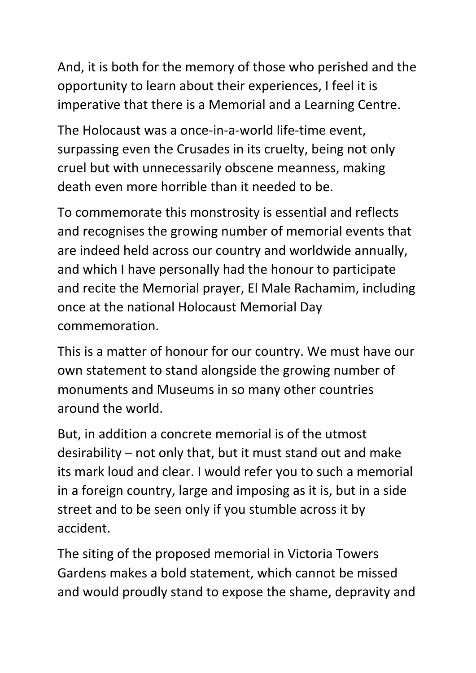And, it is both for the memory of those who perished and the opportunity to learn about their experiences, I feel it is imperative that there is a Memorial and a Learning Centre.

The Holocaust was a once-in-a-world life-time event, surpassing even the Crusades in its cruelty, being not only cruel but with unnecessarily obscene meanness, making death even more horrible than it needed to be.

To commemorate this monstrosity is essential and reflects and recognises the growing number of memorial events that are indeed held across our country and worldwide annually, and which I have personally had the honour to participate and recite the Memorial prayer, El Male Rachamim, including once at the national Holocaust Memorial Day commemoration.

This is a matter of honour for our country. We must have our own statement to stand alongside the growing number of monuments and Museums in so many other countries around the world.

But, in addition a concrete memorial is of the utmost desirability – not only that, but it must stand out and make its mark loud and clear. I would refer you to such a memorial in a foreign country, large and imposing as it is, but in a side street and to be seen only if you stumble across it by accident.

The siting of the proposed memorial in Victoria Towers Gardens makes a bold statement, which cannot be missed and would proudly stand to expose the shame, depravity and